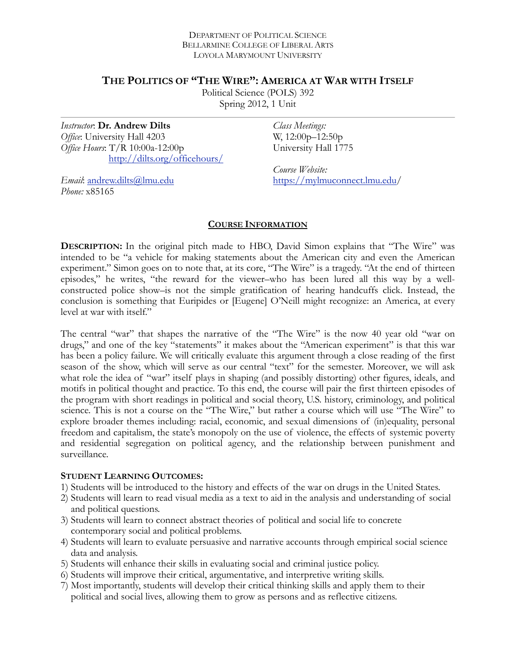#### DEPARTMENT OF POLITICAL SCIENCE BELLARMINE COLLEGE OF LIBERAL ARTS LOYOLA MARYMOUNT UNIVERSITY

## **THE POLITICS OF "THE WIRE": AMERICA AT WAR WITH ITSELF**

Political Science (POLS) 392 Spring 2012, 1 Unit

*Instructor*: **Dr. Andrew Dilts** *Office*: University Hall 4203 *Office Hours*: T/R 10:00a-12:00p <http://dilts.org/officehours/> *Class Meetings:*  W, 12:00p–12:50p University Hall 1775

*Course Website:*  [https://mylmuconnect.lmu.edu/](https://mylmuconnect.lmu.edu)

*Email*: [andrew.dilts@lmu.edu](mailto:adilts@lmu.edu) *Phone:* x85165

#### **COURSE INFORMATION**

**DESCRIPTION:** In the original pitch made to HBO, David Simon explains that "The Wire" was intended to be "a vehicle for making statements about the American city and even the American experiment." Simon goes on to note that, at its core, "The Wire" is a tragedy. "At the end of thirteen episodes," he writes, "the reward for the viewer–who has been lured all this way by a wellconstructed police show–is not the simple gratification of hearing handcuffs click. Instead, the conclusion is something that Euripides or [Eugene] O'Neill might recognize: an America, at every level at war with itself."

The central "war" that shapes the narrative of the "The Wire" is the now 40 year old "war on drugs," and one of the key "statements" it makes about the "American experiment" is that this war has been a policy failure. We will critically evaluate this argument through a close reading of the first season of the show, which will serve as our central "text" for the semester. Moreover, we will ask what role the idea of "war" itself plays in shaping (and possibly distorting) other figures, ideals, and motifs in political thought and practice. To this end, the course will pair the first thirteen episodes of the program with short readings in political and social theory, U.S. history, criminology, and political science. This is not a course on the "The Wire," but rather a course which will use "The Wire" to explore broader themes including: racial, economic, and sexual dimensions of (in)equality, personal freedom and capitalism, the state's monopoly on the use of violence, the effects of systemic poverty and residential segregation on political agency, and the relationship between punishment and surveillance.

#### **STUDENT LEARNING OUTCOMES:**

- 1) Students will be introduced to the history and effects of the war on drugs in the United States.
- 2) Students will learn to read visual media as a text to aid in the analysis and understanding of social and political questions.
- 3) Students will learn to connect abstract theories of political and social life to concrete contemporary social and political problems.
- 4) Students will learn to evaluate persuasive and narrative accounts through empirical social science data and analysis.
- 5) Students will enhance their skills in evaluating social and criminal justice policy.
- 6) Students will improve their critical, argumentative, and interpretive writing skills.
- 7) Most importantly, students will develop their critical thinking skills and apply them to their political and social lives, allowing them to grow as persons and as reflective citizens.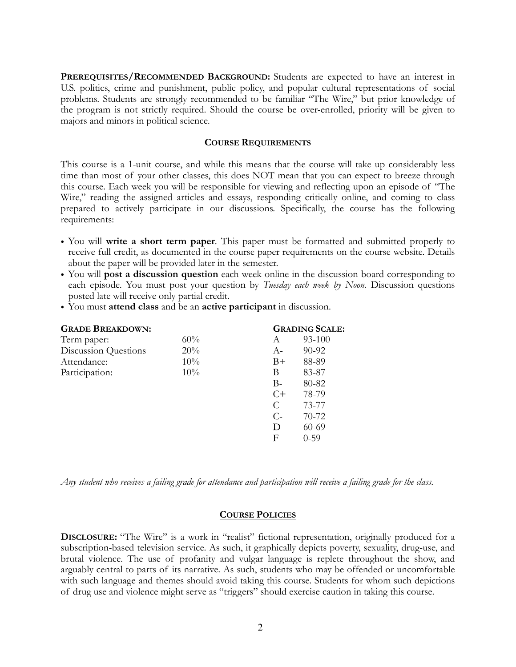**PREREQUISITES/RECOMMENDED BACKGROUND:** Students are expected to have an interest in U.S. politics, crime and punishment, public policy, and popular cultural representations of social problems. Students are strongly recommended to be familiar "The Wire," but prior knowledge of the program is not strictly required. Should the course be over-enrolled, priority will be given to majors and minors in political science.

#### **COURSE REQUIREMENTS**

This course is a 1-unit course, and while this means that the course will take up considerably less time than most of your other classes, this does NOT mean that you can expect to breeze through this course. Each week you will be responsible for viewing and reflecting upon an episode of "The Wire," reading the assigned articles and essays, responding critically online, and coming to class prepared to actively participate in our discussions. Specifically, the course has the following requirements:

- You will **write a short term paper**. This paper must be formatted and submitted properly to receive full credit, as documented in the course paper requirements on the course website. Details about the paper will be provided later in the semester.
- You will **post a discussion question** each week online in the discussion board corresponding to each episode. You must post your question by *Tuesday each week by Noon.* Discussion questions posted late will receive only partial credit.
- You must **attend class** and be an **active participant** in discussion.

| <b>GRADE BREAKDOWN:</b> |     |       | <b>GRADING SCALE:</b> |  |
|-------------------------|-----|-------|-----------------------|--|
| Term paper:             | 60% | A     | 93-100                |  |
| Discussion Questions    | 20% | $A-$  | 90-92                 |  |
| Attendance:             | 10% | $B+$  | 88-89                 |  |
| Participation:          | 10% | В     | 83-87                 |  |
|                         |     | $B-$  | 80-82                 |  |
|                         |     | $C+$  | 78-79                 |  |
|                         |     | C     | 73-77                 |  |
|                         |     | $C$ - | 70-72                 |  |
|                         |     | D     | 60-69                 |  |
|                         |     | F     | $0 - 59$              |  |

*Any student who receives a failing grade for attendance and participation will receive a failing grade for the class*.

#### **COURSE POLICIES**

**DISCLOSURE:** "The Wire" is a work in "realist" fictional representation, originally produced for a subscription-based television service. As such, it graphically depicts poverty, sexuality, drug-use, and brutal violence. The use of profanity and vulgar language is replete throughout the show, and arguably central to parts of its narrative. As such, students who may be offended or uncomfortable with such language and themes should avoid taking this course. Students for whom such depictions of drug use and violence might serve as "triggers" should exercise caution in taking this course.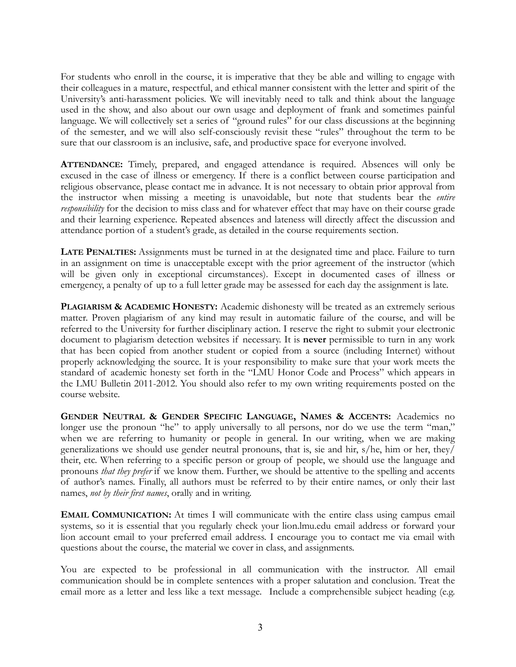For students who enroll in the course, it is imperative that they be able and willing to engage with their colleagues in a mature, respectful, and ethical manner consistent with the letter and spirit of the University's anti-harassment policies. We will inevitably need to talk and think about the language used in the show, and also about our own usage and deployment of frank and sometimes painful language. We will collectively set a series of "ground rules" for our class discussions at the beginning of the semester, and we will also self-consciously revisit these "rules" throughout the term to be sure that our classroom is an inclusive, safe, and productive space for everyone involved.

**ATTENDANCE:** Timely, prepared, and engaged attendance is required. Absences will only be excused in the case of illness or emergency. If there is a conflict between course participation and religious observance, please contact me in advance. It is not necessary to obtain prior approval from the instructor when missing a meeting is unavoidable, but note that students bear the *entire responsibility* for the decision to miss class and for whatever effect that may have on their course grade and their learning experience. Repeated absences and lateness will directly affect the discussion and attendance portion of a student's grade, as detailed in the course requirements section.

**LATE PENALTIES:** Assignments must be turned in at the designated time and place. Failure to turn in an assignment on time is unacceptable except with the prior agreement of the instructor (which will be given only in exceptional circumstances). Except in documented cases of illness or emergency, a penalty of up to a full letter grade may be assessed for each day the assignment is late.

**PLAGIARISM & ACADEMIC HONESTY:** Academic dishonesty will be treated as an extremely serious matter. Proven plagiarism of any kind may result in automatic failure of the course, and will be referred to the University for further disciplinary action. I reserve the right to submit your electronic document to plagiarism detection websites if necessary. It is **never** permissible to turn in any work that has been copied from another student or copied from a source (including Internet) without properly acknowledging the source. It is your responsibility to make sure that your work meets the standard of academic honesty set forth in the "LMU Honor Code and Process" which appears in the LMU Bulletin 2011-2012. You should also refer to my own writing requirements posted on the course website.

**GENDER NEUTRAL & GENDER SPECIFIC LANGUAGE, NAMES & ACCENTS:** Academics no longer use the pronoun "he" to apply universally to all persons, nor do we use the term "man," when we are referring to humanity or people in general. In our writing, when we are making generalizations we should use gender neutral pronouns, that is, sie and hir, s/he, him or her, they/ their, etc. When referring to a specific person or group of people, we should use the language and pronouns *that they prefer* if we know them. Further, we should be attentive to the spelling and accents of author's names. Finally, all authors must be referred to by their entire names, or only their last names, *not by their first names*, orally and in writing.

**EMAIL COMMUNICATION:** At times I will communicate with the entire class using campus email systems, so it is essential that you regularly check your lion.lmu.edu email address or forward your lion account email to your preferred email address. I encourage you to contact me via email with questions about the course, the material we cover in class, and assignments.

You are expected to be professional in all communication with the instructor. All email communication should be in complete sentences with a proper salutation and conclusion. Treat the email more as a letter and less like a text message. Include a comprehensible subject heading (e.g.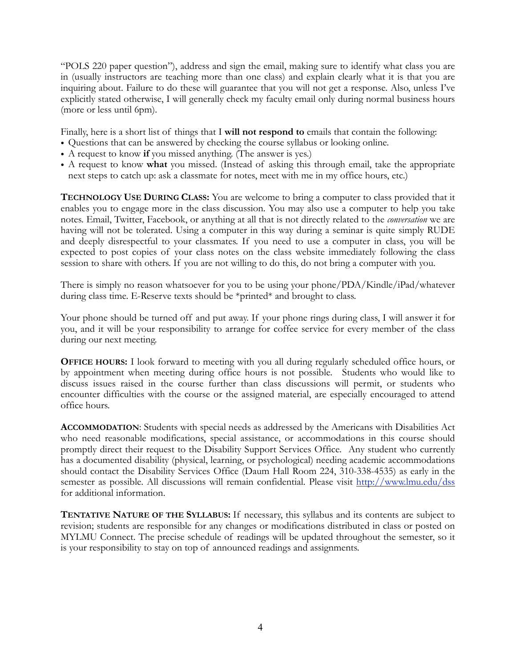"POLS 220 paper question"), address and sign the email, making sure to identify what class you are in (usually instructors are teaching more than one class) and explain clearly what it is that you are inquiring about. Failure to do these will guarantee that you will not get a response. Also, unless I've explicitly stated otherwise, I will generally check my faculty email only during normal business hours (more or less until 6pm).

Finally, here is a short list of things that I **will not respond to** emails that contain the following:

- Questions that can be answered by checking the course syllabus or looking online.
- A request to know **if** you missed anything. (The answer is yes.)
- A request to know **what** you missed. (Instead of asking this through email, take the appropriate next steps to catch up: ask a classmate for notes, meet with me in my office hours, etc.)

**TECHNOLOGY USE DURING CLASS:** You are welcome to bring a computer to class provided that it enables you to engage more in the class discussion. You may also use a computer to help you take notes. Email, Twitter, Facebook, or anything at all that is not directly related to the *conversation* we are having will not be tolerated. Using a computer in this way during a seminar is quite simply RUDE and deeply disrespectful to your classmates. If you need to use a computer in class, you will be expected to post copies of your class notes on the class website immediately following the class session to share with others. If you are not willing to do this, do not bring a computer with you.

There is simply no reason whatsoever for you to be using your phone/PDA/Kindle/iPad/whatever during class time. E-Reserve texts should be \*printed\* and brought to class.

Your phone should be turned off and put away. If your phone rings during class, I will answer it for you, and it will be your responsibility to arrange for coffee service for every member of the class during our next meeting.

**OFFICE HOURS:** I look forward to meeting with you all during regularly scheduled office hours, or by appointment when meeting during office hours is not possible. Students who would like to discuss issues raised in the course further than class discussions will permit, or students who encounter difficulties with the course or the assigned material, are especially encouraged to attend office hours.

**ACCOMMODATION**: Students with special needs as addressed by the Americans with Disabilities Act who need reasonable modifications, special assistance, or accommodations in this course should promptly direct their request to the Disability Support Services Office. Any student who currently has a documented disability (physical, learning, or psychological) needing academic accommodations should contact the Disability Services Office (Daum Hall Room 224, 310-338-4535) as early in the semester as possible. All discussions will remain confidential. Please visit <http://www.lmu.edu/dss> for additional information.

**TENTATIVE NATURE OF THE SYLLABUS:** If necessary, this syllabus and its contents are subject to revision; students are responsible for any changes or modifications distributed in class or posted on MYLMU Connect. The precise schedule of readings will be updated throughout the semester, so it is your responsibility to stay on top of announced readings and assignments.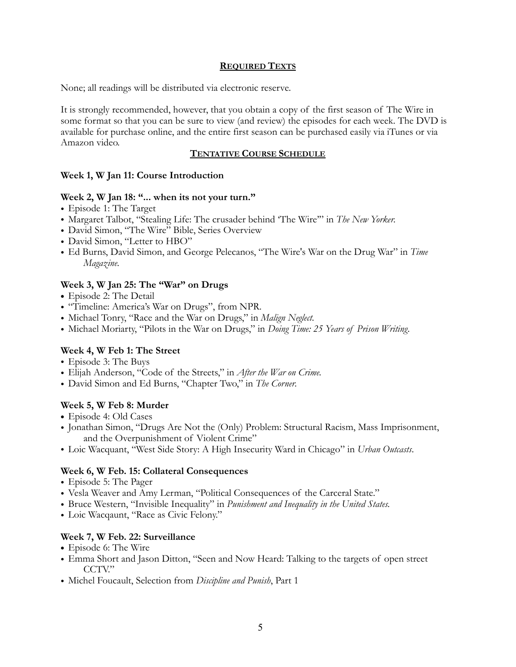#### **REQUIRED TEXTS**

None; all readings will be distributed via electronic reserve.

It is strongly recommended, however, that you obtain a copy of the first season of The Wire in some format so that you can be sure to view (and review) the episodes for each week. The DVD is available for purchase online, and the entire first season can be purchased easily via iTunes or via Amazon video.

#### **TENTATIVE COURSE SCHEDULE**

## **Week 1, W Jan 11: Course Introduction**

#### **Week 2, W Jan 18: "... when its not your turn."**

- Episode 1: The Target
- Margaret Talbot, "Stealing Life: The crusader behind 'The Wire'" in *The New Yorker.*
- David Simon, "The Wire" Bible, Series Overview
- David Simon, "Letter to HBO"
- Ed Burns, David Simon, and George Pelecanos, "The Wire's War on the Drug War" in *Time Magazine.*

# **Week 3, W Jan 25: The "War" on Drugs**

- **•** Episode 2: The Detail
- "Timeline: America's War on Drugs", from NPR.
- Michael Tonry, "Race and the War on Drugs," in *Malign Neglect.*
- Michael Moriarty, "Pilots in the War on Drugs," in *Doing Time: 25 Years of Prison Writing.*

## **Week 4, W Feb 1: The Street**

- Episode 3: The Buys
- Elijah Anderson, "Code of the Streets," in *After the War on Crime.*
- David Simon and Ed Burns, "Chapter Two," in *The Corner.*

## **Week 5, W Feb 8: Murder**

- **•** Episode 4: Old Cases
- Jonathan Simon, "Drugs Are Not the (Only) Problem: Structural Racism, Mass Imprisonment, and the Overpunishment of Violent Crime"
- Loic Wacquant, "West Side Story: A High Insecurity Ward in Chicago" in *Urban Outcasts*.

## **Week 6, W Feb. 15: Collateral Consequences**

- Episode 5: The Pager
- Vesla Weaver and Amy Lerman, "Political Consequences of the Carceral State."
- Bruce Western, "Invisible Inequality" in *Punishment and Inequality in the United States.*
- Loic Wacqaunt, "Race as Civic Felony."

## **Week 7, W Feb. 22: Surveillance**

- **•** Episode 6: The Wire
- Emma Short and Jason Ditton, "Seen and Now Heard: Talking to the targets of open street CCTV."
- Michel Foucault, Selection from *Discipline and Punish*, Part 1